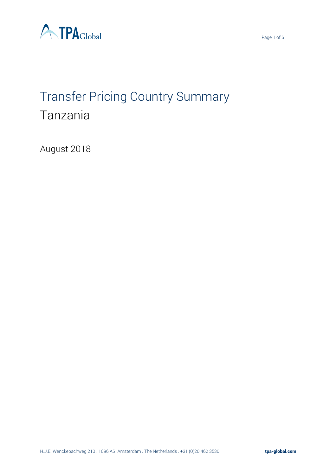



# Transfer Pricing Country Summary Tanzania

August 2018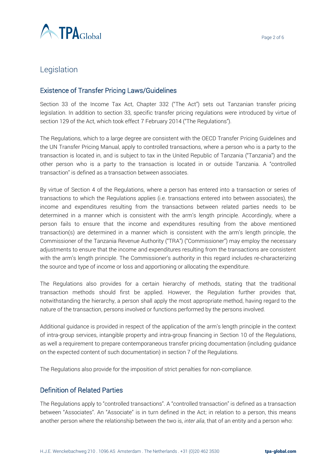

## Legislation

#### Existence of Transfer Pricing Laws/Guidelines

Section 33 of the Income Tax Act, Chapter 332 ("The Act") sets out Tanzanian transfer pricing legislation. In addition to section 33, specific transfer pricing regulations were introduced by virtue of section 129 of the Act, which took effect 7 February 2014 ("The Regulations").

The Regulations, which to a large degree are consistent with the OECD Transfer Pricing Guidelines and the UN Transfer Pricing Manual, apply to controlled transactions, where a person who is a party to the transaction is located in, and is subject to tax in the United Republic of Tanzania ("Tanzania") and the other person who is a party to the transaction is located in or outside Tanzania. A "controlled transaction" is defined as a transaction between associates.

By virtue of Section 4 of the Regulations, where a person has entered into a transaction or series of transactions to which the Regulations applies (i.e. transactions entered into between associates), the income and expenditures resulting from the transactions between related parties needs to be determined in a manner which is consistent with the arm's length principle. Accordingly, where a person fails to ensure that the income and expenditures resulting from the above mentioned transaction(s) are determined in a manner which is consistent with the arm's length principle, the Commissioner of the Tanzania Revenue Authority ("TRA") ("Commissioner") may employ the necessary adjustments to ensure that the income and expenditures resulting from the transactions are consistent with the arm's length principle. The Commissioner's authority in this regard includes re-characterizing the source and type of income or loss and apportioning or allocating the expenditure.

The Regulations also provides for a certain hierarchy of methods, stating that the traditional transaction methods should first be applied. However, the Regulation further provides that, notwithstanding the hierarchy, a person shall apply the most appropriate method, having regard to the nature of the transaction, persons involved or functions performed by the persons involved.

Additional guidance is provided in respect of the application of the arm's length principle in the context of intra-group services, intangible property and intra-group financing in Section 10 of the Regulations, as well a requirement to prepare contemporaneous transfer pricing documentation (including guidance on the expected content of such documentation) in section 7 of the Regulations.

The Regulations also provide for the imposition of strict penalties for non-compliance.

#### Definition of Related Parties

The Regulations apply to "controlled transactions". A "controlled transaction" is defined as a transaction between "Associates". An "Associate" is in turn defined in the Act; in relation to a person, this means another person where the relationship between the two is, *inter alia*, that of an entity and a person who: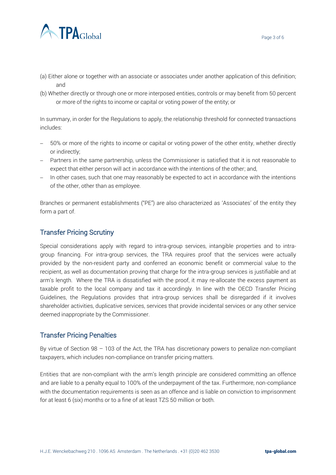

- (a) Either alone or together with an associate or associates under another application of this definition; and
- (b) Whether directly or through one or more interposed entities, controls or may benefit from 50 percent or more of the rights to income or capital or voting power of the entity; or

In summary, in order for the Regulations to apply, the relationship threshold for connected transactions includes:

- − 50% or more of the rights to income or capital or voting power of the other entity, whether directly or indirectly;
- − Partners in the same partnership, unless the Commissioner is satisfied that it is not reasonable to expect that either person will act in accordance with the intentions of the other; and,
- − In other cases, such that one may reasonably be expected to act in accordance with the intentions of the other, other than as employee.

Branches or permanent establishments ("PE") are also characterized as 'Associates' of the entity they form a part of.

#### Transfer Pricing Scrutiny

Special considerations apply with regard to intra-group services, intangible properties and to intragroup financing. For intra-group services, the TRA requires proof that the services were actually provided by the non-resident party and conferred an economic benefit or commercial value to the recipient, as well as documentation proving that charge for the intra-group services is justifiable and at arm's length. Where the TRA is dissatisfied with the proof, it may re-allocate the excess payment as taxable profit to the local company and tax it accordingly. In line with the OECD Transfer Pricing Guidelines, the Regulations provides that intra-group services shall be disregarded if it involves shareholder activities, duplicative services, services that provide incidental services or any other service deemed inappropriate by the Commissioner.

#### Transfer Pricing Penalties

By virtue of Section 98 – 103 of the Act, the TRA has discretionary powers to penalize non-compliant taxpayers, which includes non-compliance on transfer pricing matters.

Entities that are non-compliant with the arm's length principle are considered committing an offence and are liable to a penalty equal to 100% of the underpayment of the tax. Furthermore, non-compliance with the documentation requirements is seen as an offence and is liable on conviction to imprisonment for at least 6 (six) months or to a fine of at least TZS 50 million or both.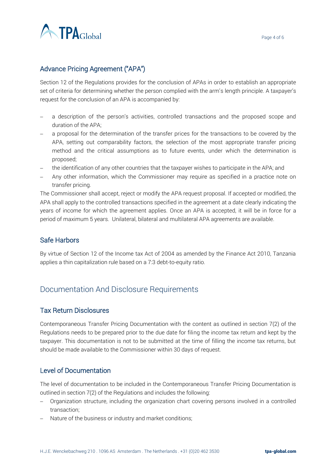

### Advance Pricing Agreement ("APA")

Section 12 of the Regulations provides for the conclusion of APAs in order to establish an appropriate set of criteria for determining whether the person complied with the arm's length principle. A taxpayer's request for the conclusion of an APA is accompanied by:

- a description of the person's activities, controlled transactions and the proposed scope and duration of the APA;
- a proposal for the determination of the transfer prices for the transactions to be covered by the APA, setting out comparability factors, the selection of the most appropriate transfer pricing method and the critical assumptions as to future events, under which the determination is proposed;
- the identification of any other countries that the taxpayer wishes to participate in the APA; and
- Any other information, which the Commissioner may require as specified in a practice note on transfer pricing.

The Commissioner shall accept, reject or modify the APA request proposal. If accepted or modified, the APA shall apply to the controlled transactions specified in the agreement at a date clearly indicating the years of income for which the agreement applies. Once an APA is accepted, it will be in force for a period of maximum 5 years. Unilateral, bilateral and multilateral APA agreements are available.

#### Safe Harbors

By virtue of Section 12 of the Income tax Act of 2004 as amended by the Finance Act 2010, Tanzania applies a thin capitalization rule based on a 7:3 debt-to-equity ratio.

## Documentation And Disclosure Requirements

#### Tax Return Disclosures

Contemporaneous Transfer Pricing Documentation with the content as outlined in section 7(2) of the Regulations needs to be prepared prior to the due date for filing the income tax return and kept by the taxpayer. This documentation is not to be submitted at the time of filling the income tax returns, but should be made available to the Commissioner within 30 days of request.

#### Level of Documentation

The level of documentation to be included in the Contemporaneous Transfer Pricing Documentation is outlined in section 7(2) of the Regulations and includes the following:

- − Organization structure, including the organization chart covering persons involved in a controlled transaction;
- − Nature of the business or industry and market conditions;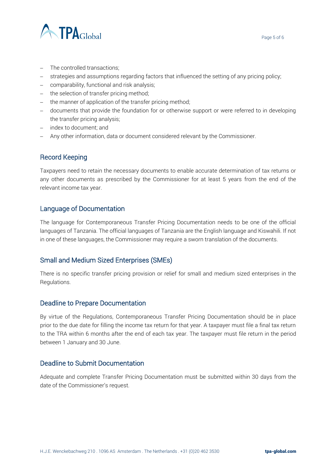



- − The controlled transactions;
- − strategies and assumptions regarding factors that influenced the setting of any pricing policy;
- − comparability, functional and risk analysis;
- − the selection of transfer pricing method;
- − the manner of application of the transfer pricing method;
- − documents that provide the foundation for or otherwise support or were referred to in developing the transfer pricing analysis;
- − index to document; and
- − Any other information, data or document considered relevant by the Commissioner.

#### Record Keeping

Taxpayers need to retain the necessary documents to enable accurate determination of tax returns or any other documents as prescribed by the Commissioner for at least 5 years from the end of the relevant income tax year.

#### Language of Documentation

The language for Contemporaneous Transfer Pricing Documentation needs to be one of the official languages of Tanzania. The official languages of Tanzania are the English language and Kiswahili. If not in one of these languages, the Commissioner may require a sworn translation of the documents.

#### Small and Medium Sized Enterprises (SMEs)

There is no specific transfer pricing provision or relief for small and medium sized enterprises in the Regulations.

#### Deadline to Prepare Documentation

By virtue of the Regulations, Contemporaneous Transfer Pricing Documentation should be in place prior to the due date for filling the income tax return for that year. A taxpayer must file a final tax return to the TRA within 6 months after the end of each tax year. The taxpayer must file return in the period between 1 January and 30 June.

#### Deadline to Submit Documentation

Adequate and complete Transfer Pricing Documentation must be submitted within 30 days from the date of the Commissioner's request.